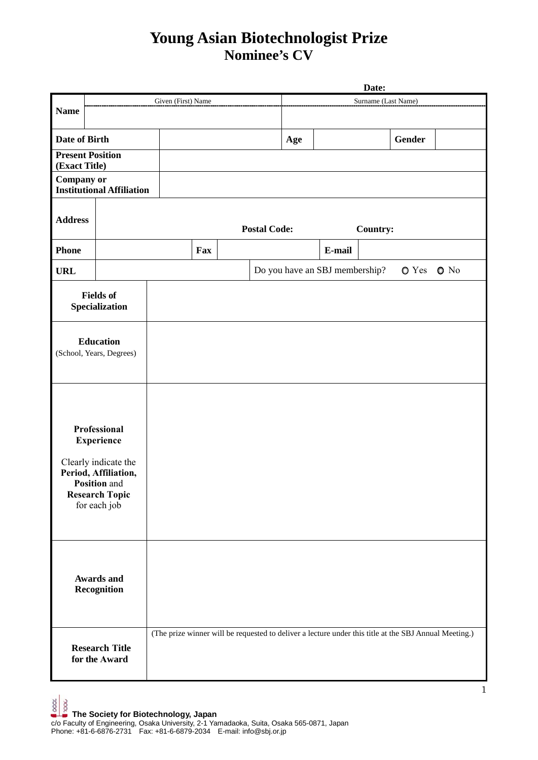## **Young Asian Biotechnologist Prize Nominee's CV**

|                                                                                                                                            |  |                                                                                                       |     |  |                     |                     | Date:                          |          |        |              |  |  |
|--------------------------------------------------------------------------------------------------------------------------------------------|--|-------------------------------------------------------------------------------------------------------|-----|--|---------------------|---------------------|--------------------------------|----------|--------|--------------|--|--|
|                                                                                                                                            |  | Given (First) Name                                                                                    |     |  |                     | Surname (Last Name) |                                |          |        |              |  |  |
| <b>Name</b>                                                                                                                                |  |                                                                                                       |     |  |                     |                     |                                |          |        |              |  |  |
| Date of Birth                                                                                                                              |  |                                                                                                       |     |  |                     | Age                 |                                |          | Gender |              |  |  |
| <b>Present Position</b><br>(Exact Title)                                                                                                   |  |                                                                                                       |     |  |                     |                     |                                |          |        |              |  |  |
| Company or<br><b>Institutional Affiliation</b>                                                                                             |  |                                                                                                       |     |  |                     |                     |                                |          |        |              |  |  |
| <b>Address</b>                                                                                                                             |  |                                                                                                       |     |  | <b>Postal Code:</b> |                     |                                | Country: |        |              |  |  |
| <b>Phone</b>                                                                                                                               |  |                                                                                                       | Fax |  |                     |                     | E-mail                         |          |        |              |  |  |
| <b>URL</b>                                                                                                                                 |  |                                                                                                       |     |  |                     |                     | Do you have an SBJ membership? |          | O Yes  | $\bullet$ No |  |  |
| <b>Fields of</b><br>Specialization                                                                                                         |  |                                                                                                       |     |  |                     |                     |                                |          |        |              |  |  |
| <b>Education</b><br>(School, Years, Degrees)                                                                                               |  |                                                                                                       |     |  |                     |                     |                                |          |        |              |  |  |
| Professional<br><b>Experience</b><br>Clearly indicate the<br>Period, Affiliation,<br>Position and<br><b>Research Topic</b><br>for each job |  |                                                                                                       |     |  |                     |                     |                                |          |        |              |  |  |
| <b>Awards and</b><br>Recognition                                                                                                           |  |                                                                                                       |     |  |                     |                     |                                |          |        |              |  |  |
| <b>Research Title</b><br>for the Award                                                                                                     |  | (The prize winner will be requested to deliver a lecture under this title at the SBJ Annual Meeting.) |     |  |                     |                     |                                |          |        |              |  |  |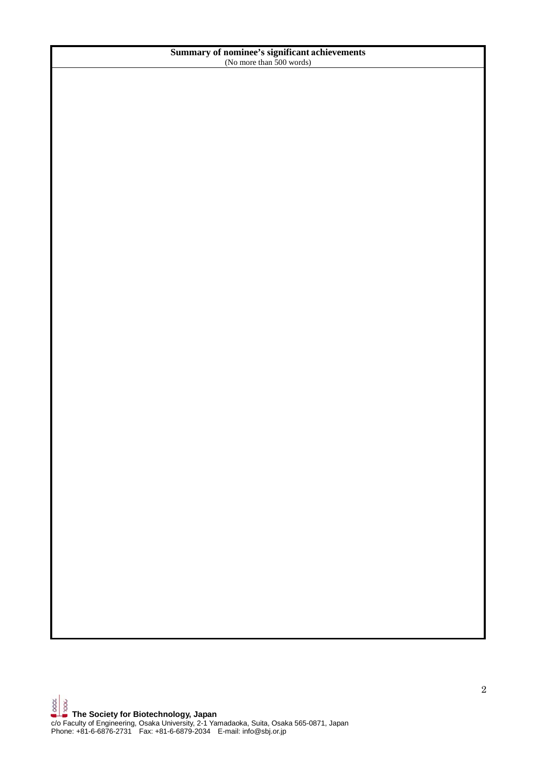## **Summary of nominee's significant achievements**  (No more than 500 words)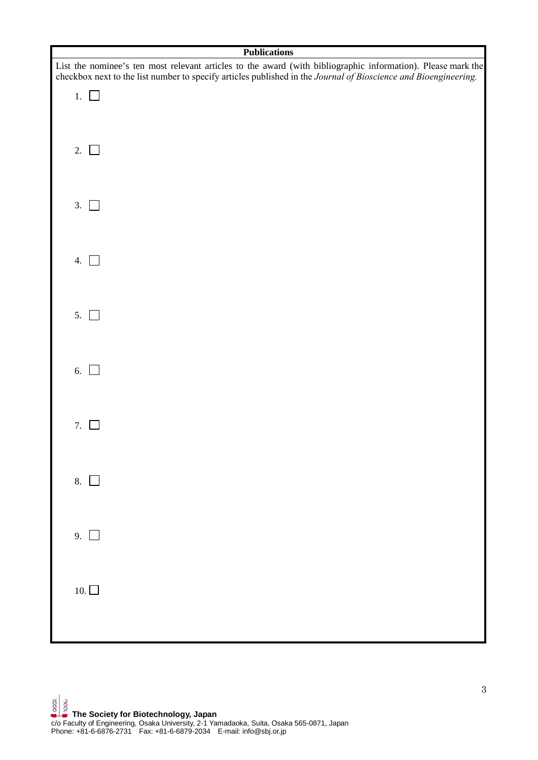| <b>Publications</b>                                                                                                                                                                                                             |
|---------------------------------------------------------------------------------------------------------------------------------------------------------------------------------------------------------------------------------|
| List the nominee's ten most relevant articles to the award (with bibliographic information). Please mark the<br>checkbox next to the list number to specify articles published in the Journal of Bioscience and Bioengineering. |
| 1. $\Box$                                                                                                                                                                                                                       |
| 2. $\Box$                                                                                                                                                                                                                       |
| 3.                                                                                                                                                                                                                              |
| 4.<br>$\mathbf{1}$                                                                                                                                                                                                              |
| 5.                                                                                                                                                                                                                              |
| 6. $\Box$                                                                                                                                                                                                                       |
| 7.                                                                                                                                                                                                                              |
| 8. $\Box$                                                                                                                                                                                                                       |
| 9. $\Box$                                                                                                                                                                                                                       |
| 10. $\Box$                                                                                                                                                                                                                      |
|                                                                                                                                                                                                                                 |